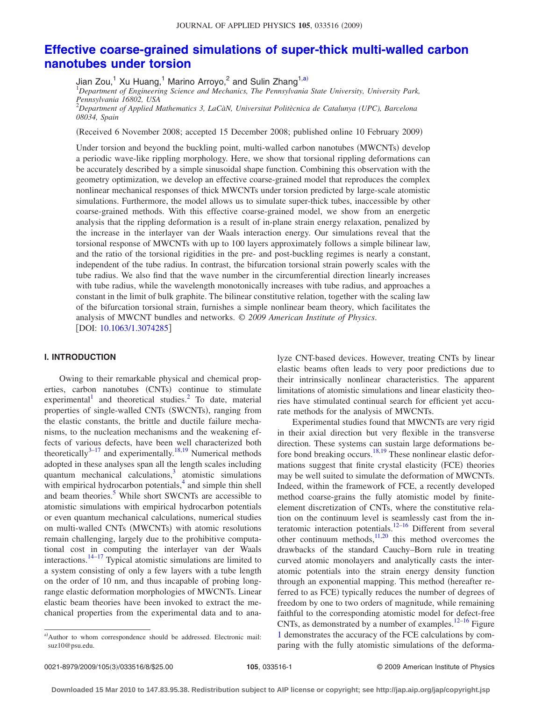# **[Effective coarse-grained simulations of super-thick multi-walled carbon](http://dx.doi.org/10.1063/1.3074285) [nanotubes under torsion](http://dx.doi.org/10.1063/1.3074285)**

Jian Zou,<sup>1</sup> Xu Huang,<sup>1</sup> Marino Arroyo,<sup>2</sup> and Sulin Zhang<sup>1[,a](#page-0-0))</sup><br><sup>1</sup> Department of Engineering Science and Mechanics, The Pennsylvania State University, University Park, *Pennsylvania 16802, USA* 2 *Department of Applied Mathematics 3, LaCàN, Universitat Politècnica de Catalunya (UPC), Barcelona*

*08034, Spain*

(Received 6 November 2008; accepted 15 December 2008; published online 10 February 2009)

Under torsion and beyond the buckling point, multi-walled carbon nanotubes (MWCNTs) develop a periodic wave-like rippling morphology. Here, we show that torsional rippling deformations can be accurately described by a simple sinusoidal shape function. Combining this observation with the geometry optimization, we develop an effective coarse-grained model that reproduces the complex nonlinear mechanical responses of thick MWCNTs under torsion predicted by large-scale atomistic simulations. Furthermore, the model allows us to simulate super-thick tubes, inaccessible by other coarse-grained methods. With this effective coarse-grained model, we show from an energetic analysis that the rippling deformation is a result of in-plane strain energy relaxation, penalized by the increase in the interlayer van der Waals interaction energy. Our simulations reveal that the torsional response of MWCNTs with up to 100 layers approximately follows a simple bilinear law, and the ratio of the torsional rigidities in the pre- and post-buckling regimes is nearly a constant, independent of the tube radius. In contrast, the bifurcation torsional strain powerly scales with the tube radius. We also find that the wave number in the circumferential direction linearly increases with tube radius, while the wavelength monotonically increases with tube radius, and approaches a constant in the limit of bulk graphite. The bilinear constitutive relation, together with the scaling law of the bifurcation torsional strain, furnishes a simple nonlinear beam theory, which facilitates the analysis of MWCNT bundles and networks. © *2009 American Institute of Physics*. [DOI: [10.1063/1.3074285](http://dx.doi.org/10.1063/1.3074285)]

# **I. INTRODUCTION**

Owing to their remarkable physical and chemical properties, carbon nanotubes (CNTs) continue to stimulate experimental<sup>1</sup> and theoretical studies.<sup>2</sup> To date, material properties of single-walled CNTs (SWCNTs), ranging from the elastic constants, the brittle and ductile failure mechanisms, to the nucleation mechanisms and the weakening effects of various defects, have been well characterized both theoretically $3-17$  and experimentally.<sup>18,[19](#page-7-5)</sup> Numerical methods adopted in these analyses span all the length scales including quantum mechanical calculations, $3$  atomistic simulations with empirical hydrocarbon potentials, $4$  and simple thin shell and beam theories.<sup>5</sup> While short SWCNTs are accessible to atomistic simulations with empirical hydrocarbon potentials or even quantum mechanical calculations, numerical studies on multi-walled CNTs (MWCNTs) with atomic resolutions remain challenging, largely due to the prohibitive computational cost in computing the interlayer van der Waals interactions. $14-17$  Typical atomistic simulations are limited to a system consisting of only a few layers with a tube length on the order of 10 nm, and thus incapable of probing longrange elastic deformation morphologies of MWCNTs. Linear elastic beam theories have been invoked to extract the mechanical properties from the experimental data and to analyze CNT-based devices. However, treating CNTs by linear elastic beams often leads to very poor predictions due to their intrinsically nonlinear characteristics. The apparent limitations of atomistic simulations and linear elasticity theories have stimulated continual search for efficient yet accurate methods for the analysis of MWCNTs.

Experimental studies found that MWCNTs are very rigid in their axial direction but very flexible in the transverse direction. These systems can sustain large deformations before bond breaking occurs. $18,19$  $18,19$  These nonlinear elastic deformations suggest that finite crystal elasticity (FCE) theories may be well suited to simulate the deformation of MWCNTs. Indeed, within the framework of FCE, a recently developed method coarse-grains the fully atomistic model by finiteelement discretization of CNTs, where the constitutive relation on the continuum level is seamlessly cast from the in-teratomic interaction potentials.<sup>12–[16](#page-7-10)</sup> Different from several other continuum methods, $11,20$  $11,20$  this method overcomes the drawbacks of the standard Cauchy–Born rule in treating curved atomic monolayers and analytically casts the interatomic potentials into the strain energy density function through an exponential mapping. This method (hereafter referred to as FCE) typically reduces the number of degrees of freedom by one to two orders of magnitude, while remaining faithful to the corresponding atomistic model for defect-free CNTs, as demonstrated by a number of examples.<sup>12[–16](#page-7-10)</sup> Figure [1](#page-1-0) demonstrates the accuracy of the FCE calculations by comparing with the fully atomistic simulations of the deforma-

<span id="page-0-0"></span>a)Author to whom correspondence should be addressed. Electronic mail: suz10@psu.edu.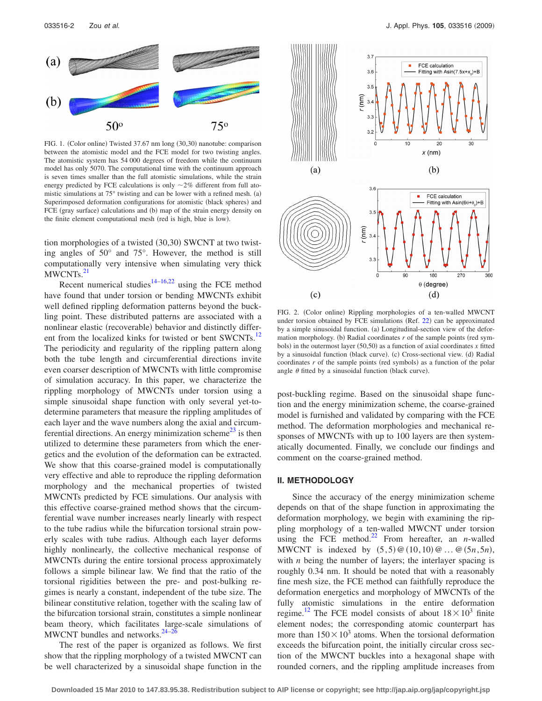<span id="page-1-0"></span>

FIG. 1. (Color online) Twisted 37.67 nm long (30,30) nanotube: comparison between the atomistic model and the FCE model for two twisting angles. The atomistic system has 54 000 degrees of freedom while the continuum model has only 5070. The computational time with the continuum approach is seven times smaller than the full atomistic simulations, while the strain energy predicted by FCE calculations is only 2*%* different from full atomistic simulations at  $75^{\circ}$  twisting and can be lower with a refined mesh. (a) Superimposed deformation configurations for atomistic (black spheres) and FCE (gray surface) calculations and (b) map of the strain energy density on the finite element computational mesh (red is high, blue is low).

tion morphologies of a twisted (30,30) SWCNT at two twisting angles of 50° and 75°. However, the method is still computationally very intensive when simulating very thick MWCNTs.<sup>21</sup>

Recent numerical studies $14-16,22$  $14-16,22$  using the FCE method have found that under torsion or bending MWCNTs exhibit well defined rippling deformation patterns beyond the buckling point. These distributed patterns are associated with a nonlinear elastic (recoverable) behavior and distinctly different from the localized kinks for twisted or bent SWCNTs.<sup>12</sup> The periodicity and regularity of the rippling pattern along both the tube length and circumferential directions invite even coarser description of MWCNTs with little compromise of simulation accuracy. In this paper, we characterize the rippling morphology of MWCNTs under torsion using a simple sinusoidal shape function with only several yet-todetermine parameters that measure the rippling amplitudes of each layer and the wave numbers along the axial and circumferential directions. An energy minimization scheme<sup>23</sup> is then utilized to determine these parameters from which the energetics and the evolution of the deformation can be extracted. We show that this coarse-grained model is computationally very effective and able to reproduce the rippling deformation morphology and the mechanical properties of twisted MWCNTs predicted by FCE simulations. Our analysis with this effective coarse-grained method shows that the circumferential wave number increases nearly linearly with respect to the tube radius while the bifurcation torsional strain powerly scales with tube radius. Although each layer deforms highly nonlinearly, the collective mechanical response of MWCNTs during the entire torsional process approximately follows a simple bilinear law. We find that the ratio of the torsional rigidities between the pre- and post-bulking regimes is nearly a constant, independent of the tube size. The bilinear constitutive relation, together with the scaling law of the bifurcation torsional strain, constitutes a simple nonlinear beam theory, which facilitates large-scale simulations of MWCNT bundles and networks. $24-26$  $24-26$ 

The rest of the paper is organized as follows. We first show that the rippling morphology of a twisted MWCNT can be well characterized by a sinusoidal shape function in the

<span id="page-1-1"></span>

FIG. 2. (Color online) Rippling morphologies of a ten-walled MWCNT under torsion obtained by FCE simulations (Ref. [22](#page-7-14)) can be approximated by a simple sinusoidal function. (a) Longitudinal-section view of the deformation morphology. (b) Radial coordinates  $r$  of the sample points (red symbols) in the outermost layer  $(50,50)$  as a function of axial coordinates x fitted by a sinusoidal function (black curve). (c) Cross-sectional view. (d) Radial coordinates  $r$  of the sample points (red symbols) as a function of the polar angle  $\theta$  fitted by a sinusoidal function (black curve).

post-buckling regime. Based on the sinusoidal shape function and the energy minimization scheme, the coarse-grained model is furnished and validated by comparing with the FCE method. The deformation morphologies and mechanical responses of MWCNTs with up to 100 layers are then systematically documented. Finally, we conclude our findings and comment on the coarse-grained method.

#### **II. METHODOLOGY**

Since the accuracy of the energy minimization scheme depends on that of the shape function in approximating the deformation morphology, we begin with examining the rippling morphology of a ten-walled MWCNT under torsion using the FCE method. $^{22}$  From hereafter, an *n*-walled MWCNT is indexed by  $(5,5) \& (10, 10) \& \dots \& (5n, 5n)$ , with *n* being the number of layers; the interlayer spacing is roughly 0.34 nm. It should be noted that with a reasonably fine mesh size, the FCE method can faithfully reproduce the deformation energetics and morphology of MWCNTs of the fully atomistic simulations in the entire deformation regime.<sup>12</sup> The FCE model consists of about  $18 \times 10^3$  finite element nodes; the corresponding atomic counterpart has more than  $150\times10^3$  atoms. When the torsional deformation exceeds the bifurcation point, the initially circular cross section of the MWCNT buckles into a hexagonal shape with rounded corners, and the rippling amplitude increases from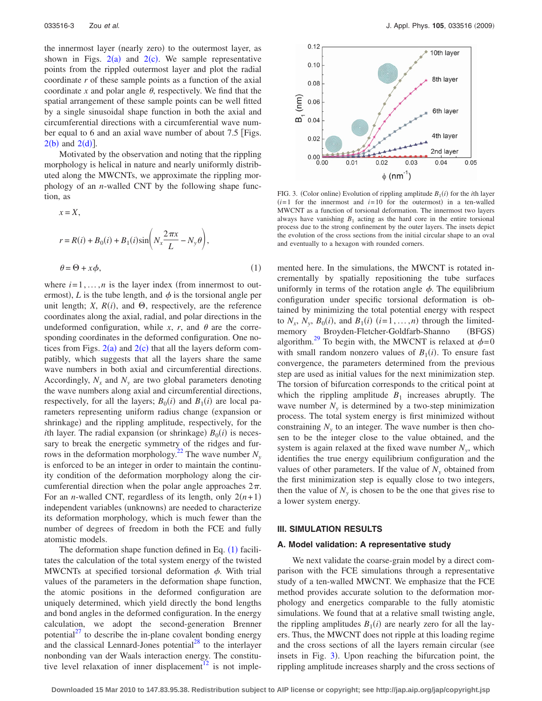the innermost layer (nearly zero) to the outermost layer, as shown in Figs.  $2(a)$  $2(a)$  and  $2(c)$ . We sample representative points from the rippled outermost layer and plot the radial coordinate *r* of these sample points as a function of the axial coordinate  $x$  and polar angle  $\theta$ , respectively. We find that the spatial arrangement of these sample points can be well fitted by a single sinusoidal shape function in both the axial and circumferential directions with a circumferential wave number equal to 6 and an axial wave number of about 7.5 [Figs.]  $2(b)$  $2(b)$  and  $2(d)$ ].

Motivated by the observation and noting that the rippling morphology is helical in nature and nearly uniformly distributed along the MWCNTs, we approximate the rippling morphology of an *n*-walled CNT by the following shape function, as

<span id="page-2-0"></span>
$$
x = X,
$$
  
\n
$$
r = R(i) + B_0(i) + B_1(i) \sin\left(N_x \frac{2\pi x}{L} - N_y \theta\right),
$$
  
\n
$$
\theta = \Theta + x\phi,
$$
\n(1)

where  $i=1,\ldots,n$  is the layer index (from innermost to outermost), *L* is the tube length, and  $\phi$  is the torsional angle per unit length;  $X$ ,  $R(i)$ , and  $\Theta$ , respectively, are the reference coordinates along the axial, radial, and polar directions in the undeformed configuration, while  $x$ ,  $r$ , and  $\theta$  are the corresponding coordinates in the deformed configuration. One notices from Figs.  $2(a)$  $2(a)$  and  $2(c)$  that all the layers deform compatibly, which suggests that all the layers share the same wave numbers in both axial and circumferential directions. Accordingly,  $N_x$  and  $N_y$  are two global parameters denoting the wave numbers along axial and circumferential directions, respectively, for all the layers;  $B_0(i)$  and  $B_1(i)$  are local parameters representing uniform radius change (expansion or shrinkage) and the rippling amplitude, respectively, for the *i*th layer. The radial expansion (or shrinkage)  $B_0(i)$  is necessary to break the energetic symmetry of the ridges and furrows in the deformation morphology.<sup>22</sup> The wave number  $N_v$ is enforced to be an integer in order to maintain the continuity condition of the deformation morphology along the circumferential direction when the polar angle approaches  $2\pi$ . For an *n*-walled CNT, regardless of its length, only  $2(n+1)$ independent variables (unknowns) are needed to characterize its deformation morphology, which is much fewer than the number of degrees of freedom in both the FCE and fully atomistic models.

The deformation shape function defined in Eq.  $(1)$  $(1)$  $(1)$  facilitates the calculation of the total system energy of the twisted MWCNTs at specified torsional deformation  $\phi$ . With trial values of the parameters in the deformation shape function, the atomic positions in the deformed configuration are uniquely determined, which yield directly the bond lengths and bond angles in the deformed configuration. In the energy calculation, we adopt the second-generation Brenner potential $^{27}$  to describe the in-plane covalent bonding energy and the classical Lennard-Jones potential $^{28}$  to the interlayer nonbonding van der Waals interaction energy. The constitutive level relaxation of inner displacement<sup>12</sup> is not imple-

<span id="page-2-1"></span>

FIG. 3. (Color online) Evolution of rippling amplitude  $B_1(i)$  for the *i*th layer  $(i=1)$  for the innermost and  $i=10$  for the outermost) in a ten-walled MWCNT as a function of torsional deformation. The innermost two layers always have vanishing  $B_1$  acting as the hard core in the entire torsional process due to the strong confinement by the outer layers. The insets depict the evolution of the cross sections from the initial circular shape to an oval and eventually to a hexagon with rounded corners.

mented here. In the simulations, the MWCNT is rotated incrementally by spatially repositioning the tube surfaces uniformly in terms of the rotation angle  $\phi$ . The equilibrium configuration under specific torsional deformation is obtained by minimizing the total potential energy with respect to  $N_x$ ,  $N_y$ ,  $B_0(i)$ , and  $B_1(i)$   $(i=1,\ldots,n)$  through the limitedmemory Broyden-Fletcher-Goldfarb-Shanno (BFGS) algorithm.<sup>29</sup> To begin with, the MWCNT is relaxed at  $\phi = 0$ with small random nonzero values of  $B_1(i)$ . To ensure fast convergence, the parameters determined from the previous step are used as initial values for the next minimization step. The torsion of bifurcation corresponds to the critical point at which the rippling amplitude  $B_1$  increases abruptly. The wave number  $N_v$  is determined by a two-step minimization process. The total system energy is first minimized without constraining  $N_v$  to an integer. The wave number is then chosen to be the integer close to the value obtained, and the system is again relaxed at the fixed wave number  $N_{v}$ , which identifies the true energy equilibrium configuration and the values of other parameters. If the value of  $N_{v}$  obtained from the first minimization step is equally close to two integers, then the value of  $N_v$  is chosen to be the one that gives rise to a lower system energy.

#### **III. SIMULATION RESULTS**

## **A. Model validation: A representative study**

We next validate the coarse-grain model by a direct comparison with the FCE simulations through a representative study of a ten-walled MWCNT. We emphasize that the FCE method provides accurate solution to the deformation morphology and energetics comparable to the fully atomistic simulations. We found that at a relative small twisting angle, the rippling amplitudes  $B_1(i)$  are nearly zero for all the layers. Thus, the MWCNT does not ripple at this loading regime and the cross sections of all the layers remain circular (see insets in Fig. [3](#page-2-1)). Upon reaching the bifurcation point, the rippling amplitude increases sharply and the cross sections of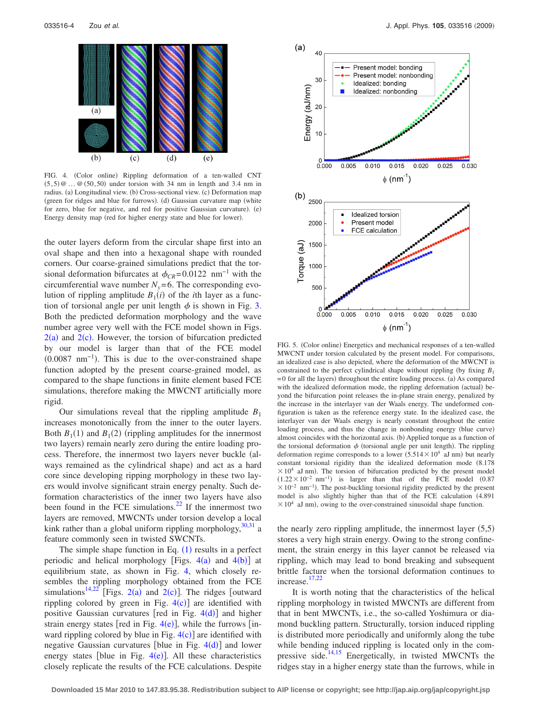<span id="page-3-0"></span>

FIG. 4. (Color online) Rippling deformation of a ten-walled CNT  $(5,5)$  @ ... @  $(50,50)$  under torsion with 34 nm in length and 3.4 nm in radius. (a) Longitudinal view. (b) Cross-sectional view. (c) Deformation map (green for ridges and blue for furrows). (d) Gaussian curvature map (white for zero, blue for negative, and red for positive Gaussian curvature). (e) Energy density map (red for higher energy state and blue for lower).

the outer layers deform from the circular shape first into an oval shape and then into a hexagonal shape with rounded corners. Our coarse-grained simulations predict that the torsional deformation bifurcates at  $\phi_{CR}$ =0.0122 nm<sup>-1</sup> with the circumferential wave number  $N_y = 6$ . The corresponding evolution of rippling amplitude  $B_1(i)$  of the *i*th layer as a function of torsional angle per unit length  $\phi$  is shown in Fig. [3.](#page-2-1) Both the predicted deformation morphology and the wave number agree very well with the FCE model shown in Figs.  $2(a)$  $2(a)$  and  $2(c)$ . However, the torsion of bifurcation predicted by our model is larger than that of the FCE model  $(0.0087 \text{ nm}^{-1})$ . This is due to the over-constrained shape function adopted by the present coarse-grained model, as compared to the shape functions in finite element based FCE simulations, therefore making the MWCNT artificially more rigid.

Our simulations reveal that the rippling amplitude  $B_1$ increases monotonically from the inner to the outer layers. Both  $B_1(1)$  and  $B_1(2)$  (rippling amplitudes for the innermost two layers) remain nearly zero during the entire loading process. Therefore, the innermost two layers never buckle (always remained as the cylindrical shape) and act as a hard core since developing ripping morphology in these two layers would involve significant strain energy penalty. Such deformation characteristics of the inner two layers have also been found in the FCE simulations. $^{22}$  If the innermost two layers are removed, MWCNTs under torsion develop a local kink rather than a global uniform rippling morphology,  $30,31$  $30,31$  a feature commonly seen in twisted SWCNTs.

The simple shape function in Eq.  $(1)$  $(1)$  $(1)$  results in a perfect periodic and helical morphology [Figs.  $4(a)$  $4(a)$  and  $4(b)$ ] at equilibrium state, as shown in Fig. [4,](#page-3-0) which closely resembles the rippling morphology obtained from the FCE simulations<sup>14,[22](#page-7-14)</sup> [Figs. [2](#page-1-1)(a) and 2(c)]. The ridges [outward rippling colored by green in Fig.  $4(c)$  $4(c)$ ] are identified with positive Gaussian curvatures [red in Fig.  $4(d)$  $4(d)$ ] and higher strain energy states [red in Fig.  $4(e)$  $4(e)$ ], while the furrows [inward rippling colored by blue in Fig.  $4(c)$  $4(c)$ ] are identified with negative Gaussian curvatures [blue in Fig.  $4(d)$  $4(d)$ ] and lower energy states [blue in Fig.  $4(e)$  $4(e)$ ]. All these characteristics closely replicate the results of the FCE calculations. Despite

<span id="page-3-1"></span>

FIG. 5. (Color online) Energetics and mechanical responses of a ten-walled MWCNT under torsion calculated by the present model. For comparisons, an idealized case is also depicted, where the deformation of the MWCNT is constrained to the perfect cylindrical shape without rippling (by fixing  $B_1$ ) = 0 for all the layers) throughout the entire loading process. (a) As compared with the idealized deformation mode, the rippling deformation (actual) beyond the bifurcation point releases the in-plane strain energy, penalized by the increase in the interlayer van der Waals energy. The undeformed configuration is taken as the reference energy state. In the idealized case, the interlayer van der Waals energy is nearly constant throughout the entire loading process, and thus the change in nonbonding energy (blue curve) almost coincides with the horizontal axis. (b) Applied torque as a function of the torsional deformation  $\phi$  (torsional angle per unit length). The rippling deformation regime corresponds to a lower  $(5.514 \times 10^4 \text{ aJ nm})$  but nearly constant torsional rigidity than the idealized deformation mode (8.178)  $\times$  10<sup>4</sup> aJ nm). The torsion of bifurcation predicted by the present model  $(1.22 \times 10^{-2} \text{ nm}^{-1})$  is larger than that of the FCE model  $(0.87)$  $\times 10^{-2}$  nm<sup>-1</sup>). The post-buckling torsional rigidity predicted by the present model is also slightly higher than that of the FCE calculation 4.891  $\times$  10<sup>4</sup> aJ nm), owing to the over-constrained sinusoidal shape function.

the nearly zero rippling amplitude, the innermost layer  $(5,5)$ stores a very high strain energy. Owing to the strong confinement, the strain energy in this layer cannot be released via rippling, which may lead to bond breaking and subsequent brittle facture when the torsional deformation continues to increase[.17](#page-7-3)[,22](#page-7-14)

It is worth noting that the characteristics of the helical rippling morphology in twisted MWCNTs are different from that in bent MWCNTs, i.e., the so-called Yoshimura or diamond buckling pattern. Structurally, torsion induced rippling is distributed more periodically and uniformly along the tube while bending induced rippling is located only in the com-pressive side.<sup>14[,15](#page-7-23)</sup> Energetically, in twisted MWCNTs the ridges stay in a higher energy state than the furrows, while in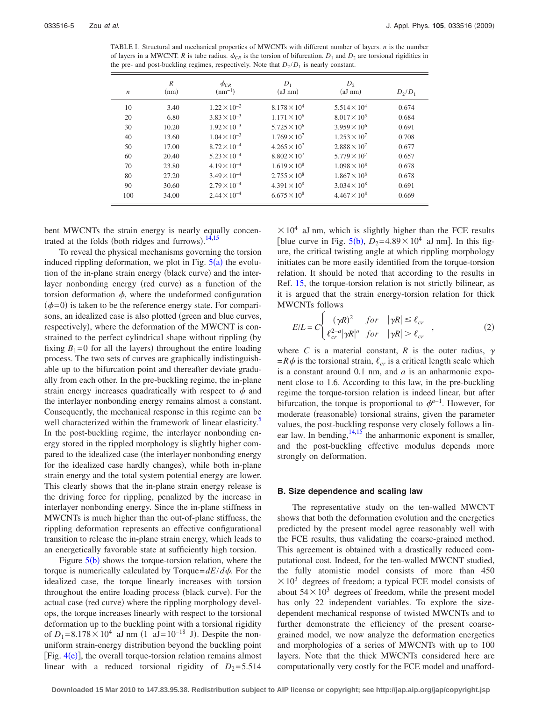<span id="page-4-0"></span>TABLE I. Structural and mechanical properties of MWCNTs with different number of layers. *n* is the number of layers in a MWCNT. *R* is tube radius.  $\phi_{CR}$  is the torsion of bifurcation.  $D_1$  and  $D_2$  are torsional rigidities in the pre- and post-buckling regimes, respectively. Note that  $D_2/D_1$  is nearly constant.

| $\boldsymbol{n}$ | R<br>(nm) | $\phi_{CR}$<br>$(nm^{-1})$ | $D_1$<br>$(aJ \ nm)$  | $D_{2}$<br>$(aJ \ nm)$ | $D_2/D_1$ |
|------------------|-----------|----------------------------|-----------------------|------------------------|-----------|
| 10               | 3.40      | $1.22 \times 10^{-2}$      | $8.178 \times 10^{4}$ | $5.514 \times 10^{4}$  | 0.674     |
| 20               | 6.80      | $3.83 \times 10^{-3}$      | $1.171 \times 10^6$   | $8.017 \times 10^5$    | 0.684     |
| 30               | 10.20     | $1.92 \times 10^{-3}$      | $5.725 \times 10^6$   | $3.959 \times 10^{6}$  | 0.691     |
| 40               | 13.60     | $1.04 \times 10^{-3}$      | $1.769 \times 10^{7}$ | $1.253 \times 10^{7}$  | 0.708     |
| 50               | 17.00     | $8.72 \times 10^{-4}$      | $4.265 \times 10^{7}$ | $2.888 \times 10^{7}$  | 0.677     |
| 60               | 20.40     | $5.23 \times 10^{-4}$      | $8.802 \times 10^{7}$ | $5.779 \times 10^{7}$  | 0.657     |
| 70               | 23.80     | $4.19 \times 10^{-4}$      | $1.619 \times 10^8$   | $1.098 \times 10^8$    | 0.678     |
| 80               | 27.20     | $3.49 \times 10^{-4}$      | $2.755 \times 10^8$   | $1.867 \times 10^8$    | 0.678     |
| 90               | 30.60     | $2.79 \times 10^{-4}$      | $4.391 \times 10^8$   | $3.034 \times 10^8$    | 0.691     |
| 100              | 34.00     | $2.44 \times 10^{-4}$      | $6.675 \times 10^8$   | $4.467 \times 10^8$    | 0.669     |

bent MWCNTs the strain energy is nearly equally concentrated at the folds (both ridges and furrows).  $14,15$  $14,15$ 

To reveal the physical mechanisms governing the torsion induced rippling deformation, we plot in Fig.  $5(a)$  $5(a)$  the evolution of the in-plane strain energy (black curve) and the interlayer nonbonding energy (red curve) as a function of the torsion deformation  $\phi$ , where the undeformed configuration  $(\phi=0)$  is taken to be the reference energy state. For comparisons, an idealized case is also plotted green and blue curves, respectively), where the deformation of the MWCNT is constrained to the perfect cylindrical shape without rippling (by fixing  $B_1 = 0$  for all the layers) throughout the entire loading process. The two sets of curves are graphically indistinguishable up to the bifurcation point and thereafter deviate gradually from each other. In the pre-buckling regime, the in-plane strain energy increases quadratically with respect to  $\phi$  and the interlayer nonbonding energy remains almost a constant. Consequently, the mechanical response in this regime can be well characterized within the framework of linear elasticity.<sup>3</sup> In the post-buckling regime, the interlayer nonbonding energy stored in the rippled morphology is slightly higher compared to the idealized case (the interlayer nonbonding energy for the idealized case hardly changes), while both in-plane strain energy and the total system potential energy are lower. This clearly shows that the in-plane strain energy release is the driving force for rippling, penalized by the increase in interlayer nonbonding energy. Since the in-plane stiffness in MWCNTs is much higher than the out-of-plane stiffness, the rippling deformation represents an effective configurational transition to release the in-plane strain energy, which leads to an energetically favorable state at sufficiently high torsion.

Figure  $5(b)$  $5(b)$  shows the torque-torsion relation, where the torque is numerically calculated by  $Torque = dE/d\phi$ . For the idealized case, the torque linearly increases with torsion throughout the entire loading process (black curve). For the actual case (red curve) where the rippling morphology develops, the torque increases linearly with respect to the torsional deformation up to the buckling point with a torsional rigidity of  $D_1 = 8.178 \times 10^4$  aJ nm (1 aJ = 10<sup>-18</sup> J). Despite the nonuniform strain-energy distribution beyond the buckling point [Fig.  $4(e)$  $4(e)$ ], the overall torque-torsion relation remains almost linear with a reduced torsional rigidity of  $D_2 = 5.514$ 

 $\times$  10<sup>4</sup> aJ nm, which is slightly higher than the FCE results [blue curve in Fig. [5](#page-3-1)(b),  $D_2 = 4.89 \times 10^4$  aJ nm]. In this figure, the critical twisting angle at which rippling morphology initiates can be more easily identified from the torque-torsion relation. It should be noted that according to the results in Ref. [15,](#page-7-23) the torque-torsion relation is not strictly bilinear, as it is argued that the strain energy-torsion relation for thick MWCNTs follows

<span id="page-4-1"></span>
$$
E/L = C \begin{cases} (\gamma R)^2 & \text{for} \quad |\gamma R| \le \ell_{cr} \\ \ell_{cr}^{2-a} |\gamma R|^a & \text{for} \quad |\gamma R| > \ell_{cr} \end{cases} , \tag{2}
$$

where *C* is a material constant, *R* is the outer radius,  $\gamma$  $=R\phi$  is the torsional strain,  $\ell_{cr}$  is a critical length scale which is a constant around 0.1 nm, and *a* is an anharmonic exponent close to 1.6. According to this law, in the pre-buckling regime the torque-torsion relation is indeed linear, but after bifurcation, the torque is proportional to  $\phi^{a-1}$ . However, for moderate (reasonable) torsional strains, given the parameter values, the post-buckling response very closely follows a linear law. In bending,  $14,15$  $14,15$  the anharmonic exponent is smaller, and the post-buckling effective modulus depends more strongly on deformation.

#### **B. Size dependence and scaling law**

The representative study on the ten-walled MWCNT shows that both the deformation evolution and the energetics predicted by the present model agree reasonably well with the FCE results, thus validating the coarse-grained method. This agreement is obtained with a drastically reduced computational cost. Indeed, for the ten-walled MWCNT studied, the fully atomistic model consists of more than 450  $\times$  10<sup>3</sup> degrees of freedom; a typical FCE model consists of about  $54 \times 10^3$  degrees of freedom, while the present model has only 22 independent variables. To explore the sizedependent mechanical response of twisted MWCNTs and to further demonstrate the efficiency of the present coarsegrained model, we now analyze the deformation energetics and morphologies of a series of MWCNTs with up to 100 layers. Note that the thick MWCNTs considered here are computationally very costly for the FCE model and unafford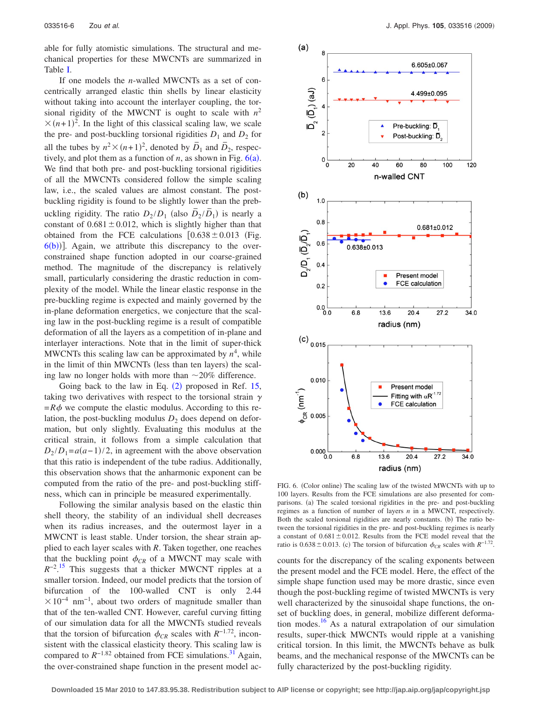able for fully atomistic simulations. The structural and mechanical properties for these MWCNTs are summarized in Table [I.](#page-4-0)

If one models the *n*-walled MWCNTs as a set of concentrically arranged elastic thin shells by linear elasticity without taking into account the interlayer coupling, the torsional rigidity of the MWCNT is ought to scale with  $n^2$  $\times (n+1)^2$ . In the light of this classical scaling law, we scale the pre- and post-buckling torsional rigidities  $D_1$  and  $D_2$  for all the tubes by  $n^2 \times (n+1)^2$ , denoted by  $\overline{D}_1$  and  $\overline{D}_2$ , respectively, and plot them as a function of  $n$ , as shown in Fig.  $6(a)$  $6(a)$ . We find that both pre- and post-buckling torsional rigidities of all the MWCNTs considered follow the simple scaling law, i.e., the scaled values are almost constant. The postbuckling rigidity is found to be slightly lower than the prebuckling rigidity. The ratio  $D_2/D_1$  (also  $\overline{D}_2/\overline{D}_1$ ) is nearly a constant of  $0.681 \pm 0.012$ , which is slightly higher than that obtained from the FCE calculations  $[0.638 \pm 0.013]$  (Fig.  $6(b)$  $6(b)$ )]. Again, we attribute this discrepancy to the overconstrained shape function adopted in our coarse-grained method. The magnitude of the discrepancy is relatively small, particularly considering the drastic reduction in complexity of the model. While the linear elastic response in the pre-buckling regime is expected and mainly governed by the in-plane deformation energetics, we conjecture that the scaling law in the post-buckling regime is a result of compatible deformation of all the layers as a competition of in-plane and interlayer interactions. Note that in the limit of super-thick MWCNTs this scaling law can be approximated by  $n<sup>4</sup>$ , while in the limit of thin MWCNTs (less than ten layers) the scaling law no longer holds with more than  $\sim$ 20% difference.

Going back to the law in Eq.  $(2)$  $(2)$  $(2)$  proposed in Ref. [15,](#page-7-23) taking two derivatives with respect to the torsional strain  $\gamma$  $=R\phi$  we compute the elastic modulus. According to this relation, the post-buckling modulus  $D_2$  does depend on deformation, but only slightly. Evaluating this modulus at the critical strain, it follows from a simple calculation that  $D_2/D_1 = a(a-1)/2$ , in agreement with the above observation that this ratio is independent of the tube radius. Additionally, this observation shows that the anharmonic exponent can be computed from the ratio of the pre- and post-buckling stiffness, which can in principle be measured experimentally.

Following the similar analysis based on the elastic thin shell theory, the stability of an individual shell decreases when its radius increases, and the outermost layer in a MWCNT is least stable. Under torsion, the shear strain applied to each layer scales with *R*. Taken together, one reaches that the buckling point  $\phi_{CR}$  of a MWCNT may scale with *R*<sup>−2</sup>.<sup>[15](#page-7-23)</sup> This suggests that a thicker MWCNT ripples at a smaller torsion. Indeed, our model predicts that the torsion of bifurcation of the 100-walled CNT is only 2.44  $\times 10^{-4}$  nm<sup>-1</sup>, about two orders of magnitude smaller than that of the ten-walled CNT. However, careful curving fitting of our simulation data for all the MWCNTs studied reveals that the torsion of bifurcation  $\phi_{CR}$  scales with  $R^{-1.72}$ , inconsistent with the classical elasticity theory. This scaling law is compared to  $R^{-1.82}$  obtained from FCE simulations.<sup>31</sup> Again, the over-constrained shape function in the present model ac-

<span id="page-5-0"></span>

FIG. 6. (Color online) The scaling law of the twisted MWCNTs with up to 100 layers. Results from the FCE simulations are also presented for comparisons. (a) The scaled torsional rigidities in the pre- and post-buckling regimes as a function of number of layers *n* in a MWCNT, respectively. Both the scaled torsional rigidities are nearly constants. (b) The ratio between the torsional rigidities in the pre- and post-buckling regimes is nearly a constant of  $0.681 \pm 0.012$ . Results from the FCE model reveal that the ratio is  $0.638 \pm 0.013$ . (c) The torsion of bifurcation  $\phi_{CR}$  scales with *R*<sup>−1.72</sup>.

counts for the discrepancy of the scaling exponents between the present model and the FCE model. Here, the effect of the simple shape function used may be more drastic, since even though the post-buckling regime of twisted MWCNTs is very well characterized by the sinusoidal shape functions, the onset of buckling does, in general, mobilize different deformation modes.<sup>16</sup> As a natural extrapolation of our simulation results, super-thick MWCNTs would ripple at a vanishing critical torsion. In this limit, the MWCNTs behave as bulk beams, and the mechanical response of the MWCNTs can be fully characterized by the post-buckling rigidity.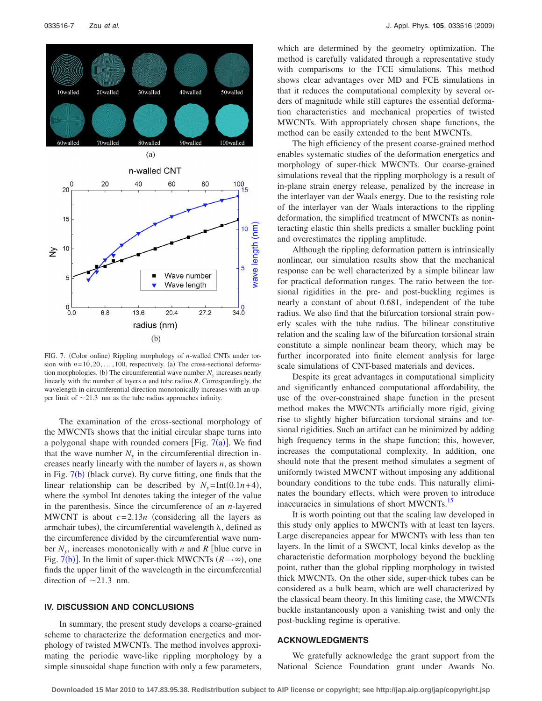<span id="page-6-0"></span>

FIG. 7. (Color online) Rippling morphology of *n*-walled CNTs under torsion with  $n = 10, 20, \ldots, 100$ , respectively. (a) The cross-sectional deformation morphologies. (b) The circumferential wave number  $N_y$  increases nearly linearly with the number of layers *n* and tube radius *R*. Correspondingly, the wavelength in circumferential direction monotonically increases with an upper limit of  $\sim$ 21.3 nm as the tube radius approaches infinity.

The examination of the cross-sectional morphology of the MWCNTs shows that the initial circular shape turns into a polygonal shape with rounded corners [Fig.  $7(a)$  $7(a)$ ]. We find that the wave number  $N_v$  in the circumferential direction increases nearly linearly with the number of layers *n*, as shown in Fig.  $7(b)$  $7(b)$  (black curve). By curve fitting, one finds that the linear relationship can be described by  $N_y = Int(0.1n + 4)$ , where the symbol Int denotes taking the integer of the value in the parenthesis. Since the circumference of an *n*-layered MWCNT is about  $c = 2.13n$  (considering all the layers as armchair tubes), the circumferential wavelength  $\lambda$ , defined as the circumference divided by the circumferential wave number  $N_v$ , increases monotonically with  $n$  and  $R$  [blue curve in Fig. [7](#page-6-0)(b)]. In the limit of super-thick MWCNTs  $(R \rightarrow \infty)$ , one finds the upper limit of the wavelength in the circumferential direction of  $\sim$ 21.3 nm.

# **IV. DISCUSSION AND CONCLUSIONS**

In summary, the present study develops a coarse-grained scheme to characterize the deformation energetics and morphology of twisted MWCNTs. The method involves approximating the periodic wave-like rippling morphology by a simple sinusoidal shape function with only a few parameters, which are determined by the geometry optimization. The method is carefully validated through a representative study with comparisons to the FCE simulations. This method shows clear advantages over MD and FCE simulations in that it reduces the computational complexity by several orders of magnitude while still captures the essential deformation characteristics and mechanical properties of twisted MWCNTs. With appropriately chosen shape functions, the method can be easily extended to the bent MWCNTs.

The high efficiency of the present coarse-grained method enables systematic studies of the deformation energetics and morphology of super-thick MWCNTs. Our coarse-grained simulations reveal that the rippling morphology is a result of in-plane strain energy release, penalized by the increase in the interlayer van der Waals energy. Due to the resisting role of the interlayer van der Waals interactions to the rippling deformation, the simplified treatment of MWCNTs as noninteracting elastic thin shells predicts a smaller buckling point and overestimates the rippling amplitude.

Although the rippling deformation pattern is intrinsically nonlinear, our simulation results show that the mechanical response can be well characterized by a simple bilinear law for practical deformation ranges. The ratio between the torsional rigidities in the pre- and post-buckling regimes is nearly a constant of about 0.681, independent of the tube radius. We also find that the bifurcation torsional strain powerly scales with the tube radius. The bilinear constitutive relation and the scaling law of the bifurcation torsional strain constitute a simple nonlinear beam theory, which may be further incorporated into finite element analysis for large scale simulations of CNT-based materials and devices.

Despite its great advantages in computational simplicity and significantly enhanced computational affordability, the use of the over-constrained shape function in the present method makes the MWCNTs artificially more rigid, giving rise to slightly higher bifurcation torsional strains and torsional rigidities. Such an artifact can be minimized by adding high frequency terms in the shape function; this, however, increases the computational complexity. In addition, one should note that the present method simulates a segment of uniformly twisted MWCNT without imposing any additional boundary conditions to the tube ends. This naturally eliminates the boundary effects, which were proven to introduce inaccuracies in simulations of short MWCNTs.<sup>15</sup>

It is worth pointing out that the scaling law developed in this study only applies to MWCNTs with at least ten layers. Large discrepancies appear for MWCNTs with less than ten layers. In the limit of a SWCNT, local kinks develop as the characteristic deformation morphology beyond the buckling point, rather than the global rippling morphology in twisted thick MWCNTs. On the other side, super-thick tubes can be considered as a bulk beam, which are well characterized by the classical beam theory. In this limiting case, the MWCNTs buckle instantaneously upon a vanishing twist and only the post-buckling regime is operative.

## **ACKNOWLEDGMENTS**

We gratefully acknowledge the grant support from the National Science Foundation grant under Awards No.